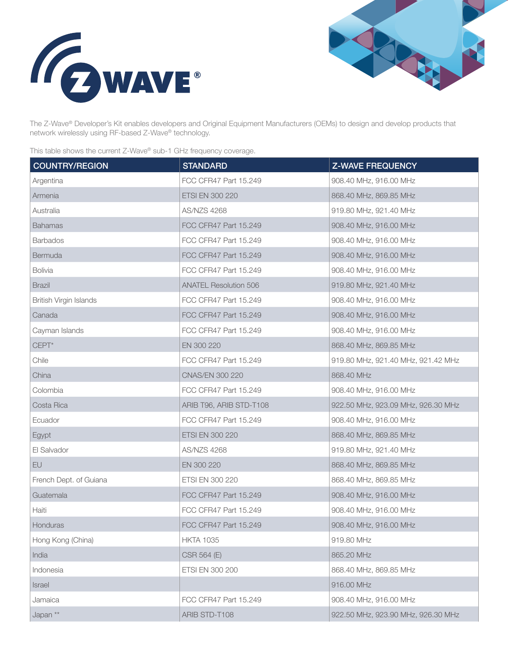



The Z-Wave® Developer's Kit enables developers and Original Equipment Manufacturers (OEMs) to design and develop products that network wirelessly using RF-based Z-Wave® technology.

This table shows the current Z-Wave® sub-1 GHz frequency coverage.

| <b>COUNTRY/REGION</b>  | <b>STANDARD</b>              | <b>Z-WAVE FREQUENCY</b>            |
|------------------------|------------------------------|------------------------------------|
| Argentina              | FCC CFR47 Part 15.249        | 908.40 MHz, 916.00 MHz             |
| Armenia                | ETSI EN 300 220              | 868.40 MHz, 869.85 MHz             |
| Australia              | <b>AS/NZS 4268</b>           | 919.80 MHz, 921.40 MHz             |
| <b>Bahamas</b>         | FCC CFR47 Part 15.249        | 908.40 MHz, 916.00 MHz             |
| <b>Barbados</b>        | FCC CFR47 Part 15.249        | 908.40 MHz, 916.00 MHz             |
| Bermuda                | FCC CFR47 Part 15.249        | 908.40 MHz, 916.00 MHz             |
| <b>Bolivia</b>         | FCC CFR47 Part 15.249        | 908.40 MHz, 916.00 MHz             |
| <b>Brazil</b>          | <b>ANATEL Resolution 506</b> | 919.80 MHz, 921.40 MHz             |
| British Virgin Islands | FCC CFR47 Part 15.249        | 908.40 MHz, 916.00 MHz             |
| Canada                 | FCC CFR47 Part 15.249        | 908.40 MHz, 916.00 MHz             |
| Cayman Islands         | FCC CFR47 Part 15.249        | 908.40 MHz, 916.00 MHz             |
| $CEPT*$                | EN 300 220                   | 868.40 MHz, 869.85 MHz             |
| Chile                  | FCC CFR47 Part 15.249        | 919.80 MHz, 921.40 MHz, 921.42 MHz |
| China                  | CNAS/EN 300 220              | 868.40 MHz                         |
| Colombia               | FCC CFR47 Part 15.249        | 908.40 MHz, 916.00 MHz             |
| Costa Rica             | ARIB T96, ARIB STD-T108      | 922.50 MHz, 923.09 MHz, 926.30 MHz |
| Ecuador                | FCC CFR47 Part 15.249        | 908.40 MHz, 916.00 MHz             |
| Egypt                  | ETSI EN 300 220              | 868.40 MHz, 869.85 MHz             |
| El Salvador            | <b>AS/NZS 4268</b>           | 919.80 MHz, 921.40 MHz             |
| EU                     | EN 300 220                   | 868.40 MHz, 869.85 MHz             |
| French Dept. of Guiana | ETSI EN 300 220              | 868.40 MHz, 869.85 MHz             |
| Guatemala              | FCC CFR47 Part 15.249        | 908.40 MHz, 916.00 MHz             |
| Haiti                  | FCC CFR47 Part 15.249        | 908.40 MHz, 916.00 MHz             |
| Honduras               | FCC CFR47 Part 15.249        | 908.40 MHz, 916.00 MHz             |
| Hong Kong (China)      | <b>HKTA 1035</b>             | 919.80 MHz                         |
| India                  | CSR 564 (E)                  | 865.20 MHz                         |
| Indonesia              | ETSI EN 300 200              | 868.40 MHz, 869.85 MHz             |
| Israel                 |                              | 916.00 MHz                         |
| Jamaica                | FCC CFR47 Part 15.249        | 908.40 MHz, 916.00 MHz             |
| Japan **               | ARIB STD-T108                | 922.50 MHz, 923.90 MHz, 926.30 MHz |